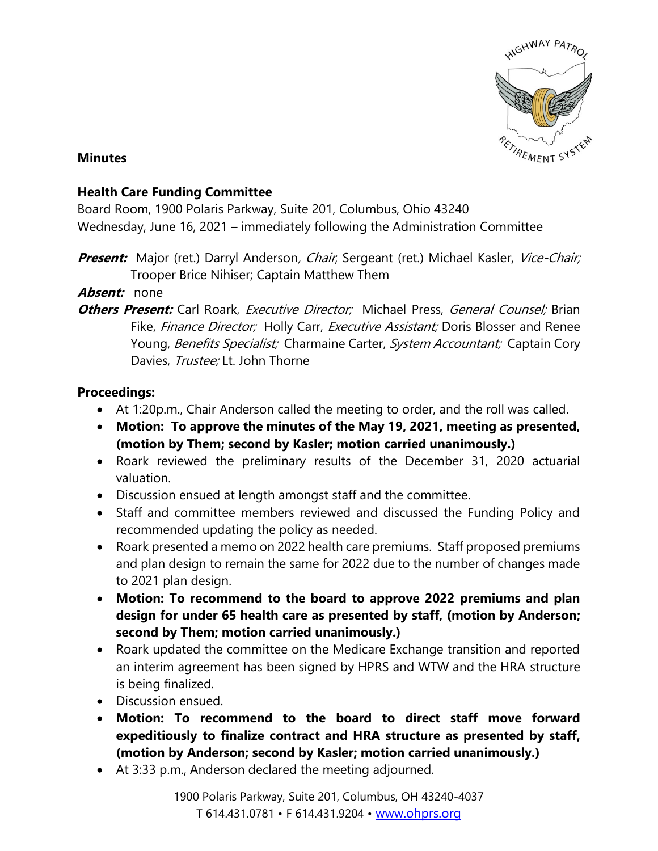

## **Minutes**

## **Health Care Funding Committee**

Board Room, 1900 Polaris Parkway, Suite 201, Columbus, Ohio 43240 Wednesday, June 16, 2021 – immediately following the Administration Committee

**Present:** Major (ret.) Darryl Anderson, Chair, Sergeant (ret.) Michael Kasler, Vice-Chair; Trooper Brice Nihiser; Captain Matthew Them

**Absent:** none

**Others Present:** Carl Roark, *Executive Director;* Michael Press, *General Counsel;* Brian Fike, Finance Director; Holly Carr, Executive Assistant; Doris Blosser and Renee Young, Benefits Specialist; Charmaine Carter, System Accountant; Captain Cory Davies, *Trustee:* Lt. John Thorne

## **Proceedings:**

- At 1:20p.m., Chair Anderson called the meeting to order, and the roll was called.
- **Motion: To approve the minutes of the May 19, 2021, meeting as presented, (motion by Them; second by Kasler; motion carried unanimously.)**
- Roark reviewed the preliminary results of the December 31, 2020 actuarial valuation.
- Discussion ensued at length amongst staff and the committee.
- Staff and committee members reviewed and discussed the Funding Policy and recommended updating the policy as needed.
- Roark presented a memo on 2022 health care premiums. Staff proposed premiums and plan design to remain the same for 2022 due to the number of changes made to 2021 plan design.
- **Motion: To recommend to the board to approve 2022 premiums and plan design for under 65 health care as presented by staff, (motion by Anderson; second by Them; motion carried unanimously.)**
- Roark updated the committee on the Medicare Exchange transition and reported an interim agreement has been signed by HPRS and WTW and the HRA structure is being finalized.
- Discussion ensued.
- **Motion: To recommend to the board to direct staff move forward expeditiously to finalize contract and HRA structure as presented by staff, (motion by Anderson; second by Kasler; motion carried unanimously.)**
- At 3:33 p.m., Anderson declared the meeting adjourned.